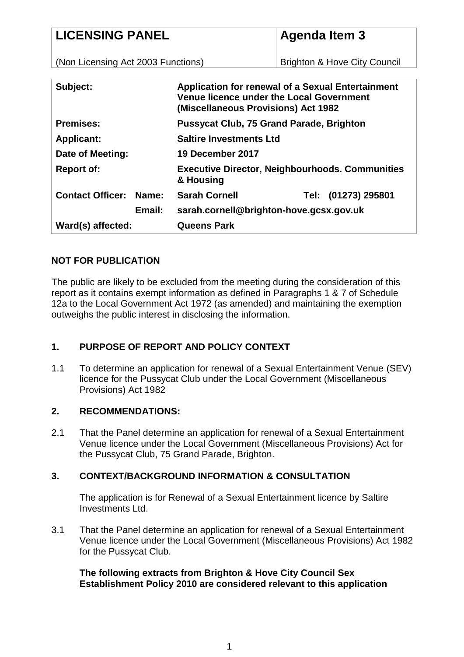## **LICENSING PANEL**

# **Agenda Item 3**

(Non Licensing Act 2003 Functions)

Brighton & Hove City Council

| Subject:                                | <b>Application for renewal of a Sexual Entertainment</b><br><b>Venue licence under the Local Government</b><br>(Miscellaneous Provisions) Act 1982 |
|-----------------------------------------|----------------------------------------------------------------------------------------------------------------------------------------------------|
| <b>Premises:</b>                        | <b>Pussycat Club, 75 Grand Parade, Brighton</b>                                                                                                    |
| <b>Applicant:</b>                       | <b>Saltire Investments Ltd</b>                                                                                                                     |
| Date of Meeting:                        | 19 December 2017                                                                                                                                   |
| <b>Report of:</b>                       | <b>Executive Director, Neighbourhoods. Communities</b><br>& Housing                                                                                |
| <b>Contact Officer:</b><br><b>Name:</b> | <b>Sarah Cornell</b><br>(01273) 295801<br>Tel:                                                                                                     |
| Email:                                  | sarah.cornell@brighton-hove.gcsx.gov.uk                                                                                                            |
| Ward(s) affected:                       | <b>Queens Park</b>                                                                                                                                 |

### **NOT FOR PUBLICATION**

The public are likely to be excluded from the meeting during the consideration of this report as it contains exempt information as defined in Paragraphs 1 & 7 of Schedule 12a to the Local Government Act 1972 (as amended) and maintaining the exemption outweighs the public interest in disclosing the information.

## **1. PURPOSE OF REPORT AND POLICY CONTEXT**

1.1 To determine an application for renewal of a Sexual Entertainment Venue (SEV) licence for the Pussycat Club under the Local Government (Miscellaneous Provisions) Act 1982

#### **2. RECOMMENDATIONS:**

2.1 That the Panel determine an application for renewal of a Sexual Entertainment Venue licence under the Local Government (Miscellaneous Provisions) Act for the Pussycat Club, 75 Grand Parade, Brighton.

## **3. CONTEXT/BACKGROUND INFORMATION & CONSULTATION**

The application is for Renewal of a Sexual Entertainment licence by Saltire Investments Ltd.

3.1 That the Panel determine an application for renewal of a Sexual Entertainment Venue licence under the Local Government (Miscellaneous Provisions) Act 1982 for the Pussycat Club.

#### **The following extracts from Brighton & Hove City Council Sex Establishment Policy 2010 are considered relevant to this application**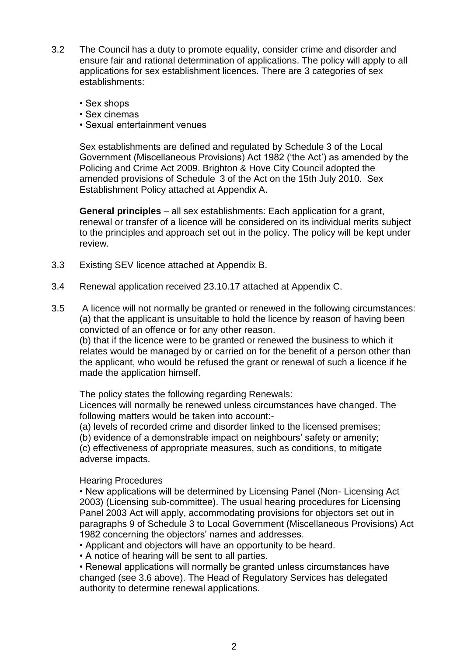- 3.2 The Council has a duty to promote equality, consider crime and disorder and ensure fair and rational determination of applications. The policy will apply to all applications for sex establishment licences. There are 3 categories of sex establishments:
	- Sex shops
	- Sex cinemas
	- Sexual entertainment venues

Sex establishments are defined and regulated by Schedule 3 of the Local Government (Miscellaneous Provisions) Act 1982 ('the Act') as amended by the Policing and Crime Act 2009. Brighton & Hove City Council adopted the amended provisions of Schedule 3 of the Act on the 15th July 2010. Sex Establishment Policy attached at Appendix A.

**General principles** – all sex establishments: Each application for a grant, renewal or transfer of a licence will be considered on its individual merits subject to the principles and approach set out in the policy. The policy will be kept under review.

- 3.3 Existing SEV licence attached at Appendix B.
- 3.4 Renewal application received 23.10.17 attached at Appendix C.
- 3.5 A licence will not normally be granted or renewed in the following circumstances: (a) that the applicant is unsuitable to hold the licence by reason of having been convicted of an offence or for any other reason.

(b) that if the licence were to be granted or renewed the business to which it relates would be managed by or carried on for the benefit of a person other than the applicant, who would be refused the grant or renewal of such a licence if he made the application himself.

The policy states the following regarding Renewals:

Licences will normally be renewed unless circumstances have changed. The following matters would be taken into account:-

(a) levels of recorded crime and disorder linked to the licensed premises;

(b) evidence of a demonstrable impact on neighbours' safety or amenity;

(c) effectiveness of appropriate measures, such as conditions, to mitigate adverse impacts.

Hearing Procedures

• New applications will be determined by Licensing Panel (Non- Licensing Act 2003) (Licensing sub-committee). The usual hearing procedures for Licensing Panel 2003 Act will apply, accommodating provisions for objectors set out in paragraphs 9 of Schedule 3 to Local Government (Miscellaneous Provisions) Act 1982 concerning the objectors' names and addresses.

- Applicant and objectors will have an opportunity to be heard.
- A notice of hearing will be sent to all parties.

• Renewal applications will normally be granted unless circumstances have changed (see 3.6 above). The Head of Regulatory Services has delegated authority to determine renewal applications.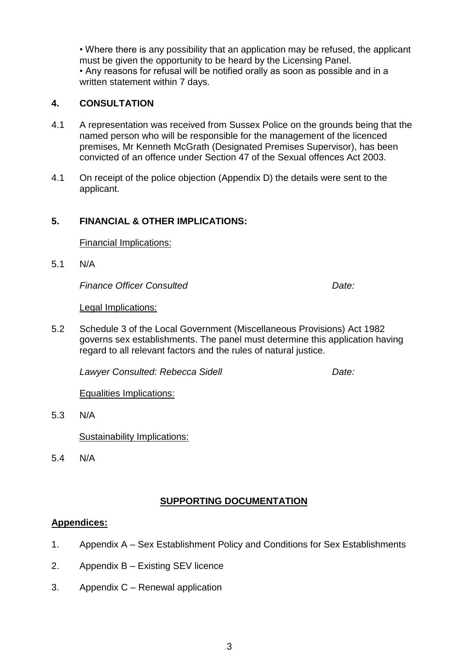• Where there is any possibility that an application may be refused, the applicant must be given the opportunity to be heard by the Licensing Panel. • Any reasons for refusal will be notified orally as soon as possible and in a written statement within 7 days.

#### **4. CONSULTATION**

- 4.1 A representation was received from Sussex Police on the grounds being that the named person who will be responsible for the management of the licenced premises, Mr Kenneth McGrath (Designated Premises Supervisor), has been convicted of an offence under Section 47 of the Sexual offences Act 2003.
- 4.1 On receipt of the police objection (Appendix D) the details were sent to the applicant.

#### **5. FINANCIAL & OTHER IMPLICATIONS:**

Financial Implications:

5.1 N/A

*Finance Officer Consulted Date:* 

Legal Implications:

5.2 Schedule 3 of the Local Government (Miscellaneous Provisions) Act 1982 governs sex establishments. The panel must determine this application having regard to all relevant factors and the rules of natural justice.

*Lawyer Consulted: Rebecca Sidell Date:* 

Equalities Implications:

5.3 N/A

Sustainability Implications:

5.4 N/A

#### **SUPPORTING DOCUMENTATION**

#### **Appendices:**

- 1. Appendix A Sex Establishment Policy and Conditions for Sex Establishments
- 2. Appendix B Existing SEV licence
- 3. Appendix C Renewal application